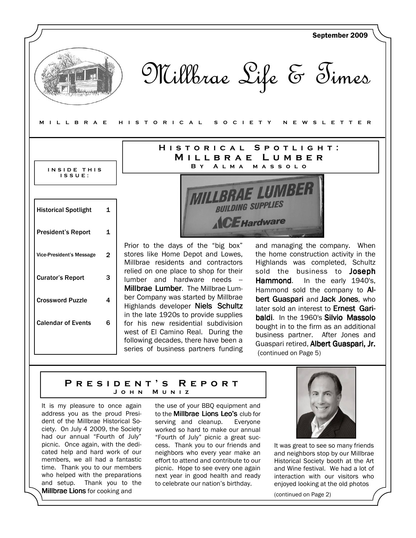

### P R E S I D E N T ' S R E P O R T J o h n M u n i z

It is my pleasure to once again address you as the proud President of the Millbrae Historical Society. On July 4 2009, the Society had our annual "Fourth of July" picnic. Once again, with the dedicated help and hard work of our members, we all had a fantastic time. Thank you to our members who helped with the preparations and setup. Thank you to the **Millbrae Lions** for cooking and

the use of your BBQ equipment and to the **Millbrae Lions Leo's** club for serving and cleanup. Everyone worked so hard to make our annual "Fourth of July" picnic a great success. Thank you to our friends and neighbors who every year make an effort to attend and contribute to our picnic. Hope to see every one again next year in good health and ready to celebrate our nation's birthday.



It was great to see so many friends and neighbors stop by our Millbrae Historical Society booth at the Art and Wine festival. We had a lot of interaction with our visitors who enjoyed looking at the old photos

(continued on Page 2)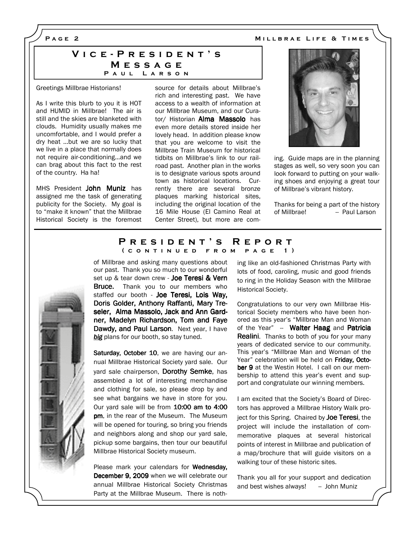MILLBRAE LIFE & TIMES

PAGE<sub>2</sub>

### VICE-PRESIDENT'S **MESSAGE** PAUL LARSON

#### Greetings Millbrae Historians!

As I write this blurb to you it is HOT and HUMID in Millbrae! The air is still and the skies are blanketed with clouds. Humidity usually makes me uncomfortable, and I would prefer a dry heat …but we are so lucky that we live in a place that normally does not require air-conditioning…and we can brag about this fact to the rest of the country. Ha ha!

MHS President John Muniz has assigned me the task of generating publicity for the Society. My goal is to "make it known" that the Millbrae Historical Society is the foremost source for details about Millbrae's rich and interesting past. We have access to a wealth of information at our Millbrae Museum, and our Curator/ Historian Alma Massolo has even more details stored inside her lovely head. In addition please know that you are welcome to visit the Millbrae Train Museum for historical tidbits on Millbrae's link to our railroad past. Another plan in the works is to designate various spots around town as historical locations. Currently there are several bronze plaques marking historical sites, including the original location of the 16 Mile House (El Camino Real at Center Street), but more are com-



ing. Guide maps are in the planning stages as well, so very soon you can look forward to putting on your walking shoes and enjoying a great tour of Millbrae's vibrant history.

Thanks for being a part of the history of Millbrae! - Paul Larson

#### PRESIDENT'S REPORT ( CONTINUED FROM PAGE 1)

of Millbrae and asking many questions about our past. Thank you so much to our wonderful set up & tear down crew - Joe Teresi & Vern **Bruce.** Thank you to our members who staffed our booth - Joe Teresi, Lois Way, Doris Golder, Anthony Raffanti, Mary Treseler, Alma Massolo, Jack and Ann Gardner, Madelyn Richardson, Tom and Faye Dawdy, and Paul Larson. Next year, I have big plans for our booth, so stay tuned.

Saturday, October 10, we are having our annual Millbrae Historical Society yard sale. Our yard sale chairperson, Dorothy Semke, has assembled a lot of interesting merchandise and clothing for sale, so please drop by and see what bargains we have in store for you. Our yard sale will be from 10:00 am to 4:00 pm, in the rear of the Museum. The Museum will be opened for touring, so bring you friends and neighbors along and shop our yard sale, pickup some bargains, then tour our beautiful Millbrae Historical Society museum.

Please mark your calendars for Wednesday, December 9, 2009 when we will celebrate our annual Millbrae Historical Society Christmas Party at the Millbrae Museum. There is nothing like an old-fashioned Christmas Party with lots of food, caroling, music and good friends to ring in the Holiday Season with the Millbrae Historical Society.

Congratulations to our very own Millbrae Historical Society members who have been honored as this year's "Millbrae Man and Woman of the Year" - Walter Haag and Patricia **Realini.** Thanks to both of you for your many years of dedicated service to our community. This year's "Millbrae Man and Woman of the Year" celebration will be held on Friday. October 9 at the Westin Hotel. I call on our membership to attend this year's event and support and congratulate our winning members.

I am excited that the Society's Board of Directors has approved a Millbrae History Walk project for this Spring. Chaired by **Joe Teresi**, the project will include the installation of commemorative plaques at several historical points of interest in Millbrae and publication of a map/brochure that will guide visitors on a walking tour of these historic sites.

Thank you all for your support and dedication and best wishes always!  $-$  John Muniz

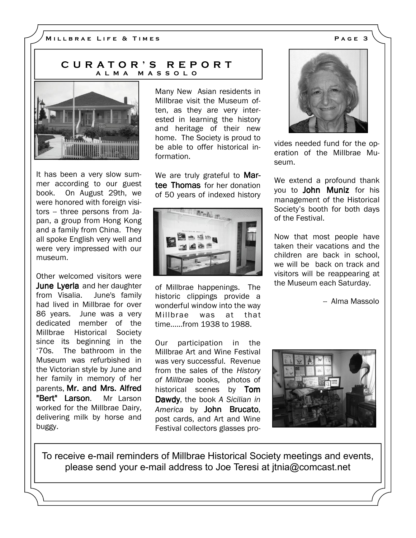## C U R A T O R ' S R E P O R T A L M A M A S S O L O



It has been a very slow summer according to our guest book. On August 29th, we were honored with foreign visitors -- three persons from Japan, a group from Hong Kong and a family from China. They all spoke English very well and were very impressed with our museum.

Other welcomed visitors were June Lyerla and her daughter from Visalia. June's family had lived in Millbrae for over 86 years. June was a very dedicated member of the Millbrae Historical Society since its beginning in the '70s. The bathroom in the Museum was refurbished in the Victorian style by June and her family in memory of her parents, Mr. and Mrs. Alfred "Bert" Larson. Mr Larson worked for the Millbrae Dairy, delivering milk by horse and buggy.

Many New Asian residents in Millbrae visit the Museum often, as they are very interested in learning the history and heritage of their new home. The Society is proud to be able to offer historical information.

We are truly grateful to Martee Thomas for her donation of 50 years of indexed history



of Millbrae happenings. The historic clippings provide a wonderful window into the way Millbrae was at that time......from 1938 to 1988.

Our participation in the Millbrae Art and Wine Festival was very successful. Revenue from the sales of the History of Millbrae books, photos of historical scenes by Tom Dawdy, the book A Sicilian in America by John Brucato, post cards, and Art and Wine Festival collectors glasses pro-



vides needed fund for the operation of the Millbrae Museum.

We extend a profound thank you to John Muniz for his management of the Historical Society's booth for both days of the Festival.

Now that most people have taken their vacations and the children are back in school, we will be back on track and visitors will be reappearing at the Museum each Saturday.

-- Alma Massolo



To receive e-mail reminders of Millbrae Historical Society meetings and events, please send your e-mail address to Joe Teresi at jtnia@comcast.net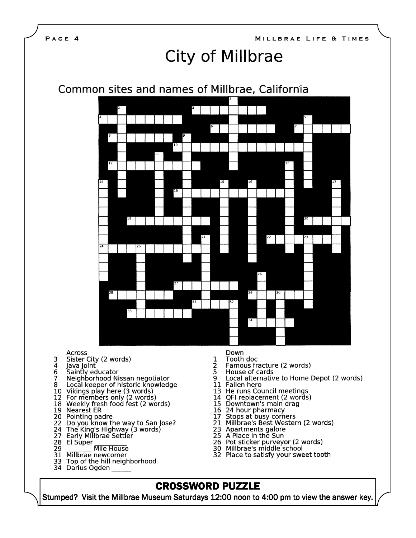

Across

- Sister City (2 words) 3
- $\overline{4}$
- Java joint<br>Saintly educator 6
- 7 Neighborhood Nissan negotiator
- Local keeper of historic knowledge 8
- 10
- Vikings play here (3 words)<br>For members only (2 words) 12
- 18 Weekly fresh food fest (2 words)
- 19 **Nearest ER**
- 20
- Pointing padre<br>Do you know the way to San Jose?<br>The King's Highway (3 words)<br>Early Millbrae Settler 22
- 24
- 27
- 
- 28 El Súper<br>29
- Mile House 31 **Millbrae** newcomer
- Top of the hill neighborhood 33
- 
- 34 Darius Ogden
- Down
- Tooth doc 1
- 2 Famous fracture (2 words)
- 5 House of cards
- Local alternative to Home Depot (2 words) 9
- 11 Fallen hero
- 13 He runs Council meetings
- QFI replacement (2 words) 14
- 15 Downtown's main drag
- 16 24 hour pharmacy
- 
- 17 Stops at busy corners<br>21 Millbrae's Best Western (2 words)
- 23 Apartments galore
- 25 A Place in the Sun
- Pot sticker purveyor (2 words) 26
- 30 Millbrae's middle school
- 32 Place to satisfy your sweet tooth

# **CROSSWORD PUZZLE**

Stumped? Visit the Millbrae Museum Saturdays 12:00 noon to 4:00 pm to view the answer key.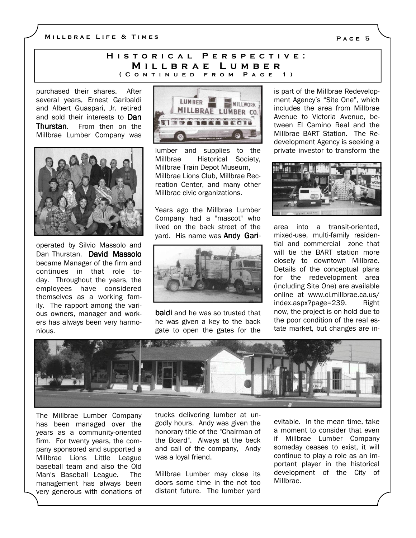M I LLBRAE LIFE & TIMES

### H I S T O R I C A L P E R S P E C T I V E : MILLBRAE LUMBER ( CONTINUED FROM PAGE 1)

purchased their shares. After several years, Ernest Garibaldi and Albert Guaspari, Jr. retired and sold their interests to Dan Thurstan. From then on the Millbrae Lumber Company was



operated by Silvio Massolo and Dan Thurstan. David Massolo became Manager of the firm and continues in that role today. Throughout the years, the employees have considered themselves as a working family. The rapport among the various owners, manager and workers has always been very harmonious.



lumber and supplies to the Millbrae Historical Society, Millbrae Train Depot Museum, Millbrae Lions Club, Millbrae Recreation Center, and many other Millbrae civic organizations.

Years ago the Millbrae Lumber Company had a "mascot" who lived on the back street of the yard. His name was **Andy Gari-**



baldi and he was so trusted that he was given a key to the back gate to open the gates for the

is part of the Millbrae Redevelopment Agency's "Site One", which includes the area from Millbrae Avenue to Victoria Avenue, between El Camino Real and the Millbrae BART Station. The Redevelopment Agency is seeking a private investor to transform the



area into a transit-oriented, mixed-use, multi-family residential and commercial zone that will tie the BART station more closely to downtown Millbrae. Details of the conceptual plans for the redevelopment area (including Site One) are available online at www.ci.millbrae.ca.us/ index.aspx?page=239. Right now, the project is on hold due to the poor condition of the real estate market, but changes are in-



The Millbrae Lumber Company has been managed over the years as a community-oriented firm. For twenty years, the company sponsored and supported a Millbrae Lions Little League baseball team and also the Old Man's Baseball League. The management has always been very generous with donations of trucks delivering lumber at ungodly hours. Andy was given the honorary title of the "Chairman of the Board". Always at the beck and call of the company, Andy was a loyal friend.

Millbrae Lumber may close its doors some time in the not too distant future. The lumber yard

evitable. In the mean time, take a moment to consider that even if Millbrae Lumber Company someday ceases to exist, it will continue to play a role as an important player in the historical development of the City of Millbrae.